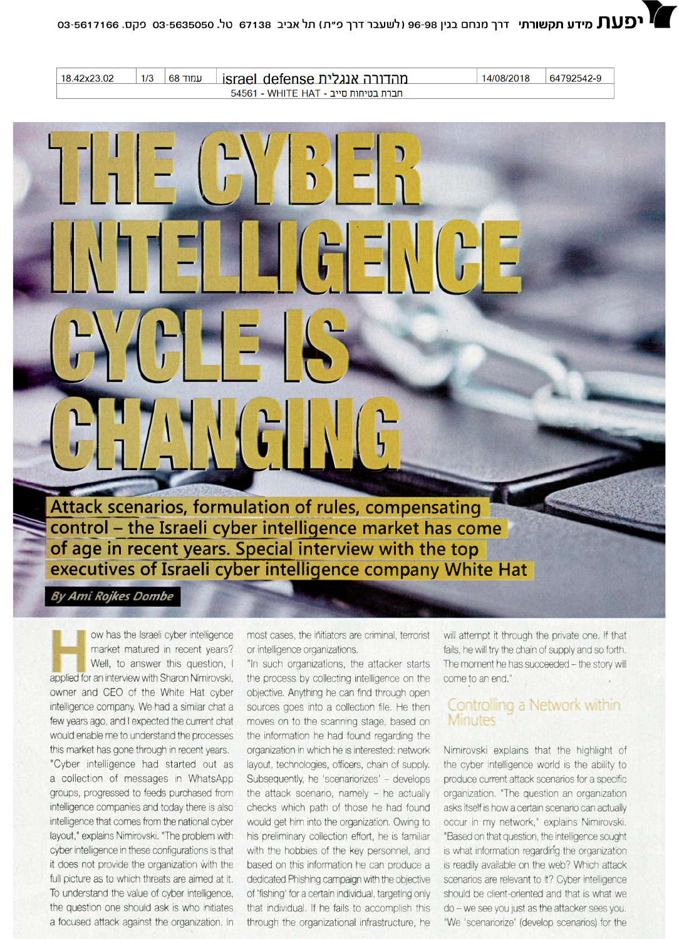14/08/2018 64792542-9

מהדורה אנגלית israel defense 54561 - WHITE HAT - חברת בטיחות סייב

18.42x23.02

 $1/3$ 

**עמוד** 68

| $L = \frac{1}{2}$                                                                                                          |              |
|----------------------------------------------------------------------------------------------------------------------------|--------------|
|                                                                                                                            | LUTELL GEVGE |
| $C\left(\begin{array}{c c} 1 & 0 \\ 0 & 1 \end{array}\right) = \left[\begin{array}{c c} 1 & 0 \\ 0 & 1 \end{array}\right]$ |              |
| CHANGING                                                                                                                   |              |

 $L - 11 - (2V/T_2 - 1)$ 

**!Attack scenarios, formulation of rules, compensating control - the Israeli cyber intelligence market has come of age in recent years. Special interview with the top executives of Israeli cyber intelligence company White Hat**

*ByAmiRojkes Dombe*

ow has the Israeli cyber intelligence market matured in recent years? Well, to answer this question, I applied for an interview with Sharon Nimirovski, owner and CEO of the White Hat cyber intelligence company. We had a similar chat a few years ago, and <sup>I</sup> expected the current chat would enable me to understand the processes this market has gone through in recent years.

"Cyber intelligence had started out as a collection of messages in WhatsApp groups, progressed to feeds purchased from intelligence companies and today there is also intelligence that comes from the national cyber layout," explains Nimirovski. "The problem with cyber intelligence in these configurations is that it does not provide the organization with the full picture as to which threats are aimed at it. To understand the value of cyber intelligence, the question one should ask is who initiates a focused attack against the organization. In

most cases, the initiators are criminal, terrorist or intelligence organizations.

"In such organizations, the attacker starts the process by collecting intelligence on the objective. Anything he can find through open sources goes into a collection file. He then moves on to the scanning stage, based on the information he had found regarding the organization in which he is interested: network layout, technologies, officers, chain of supply. Subsequently, he 'scenariorizes' - develops the attack scenario, namely - he actually checks which path of those he had found would get him into the organization. Owing to his preliminary collection effort, he is familiar with the hobbies of the key personnel, and based on this information he can produce a dedicated Phishing campaign with the objective of 'fishing' for a certain individual, targeting only that individual. If he fails to accomplish this through the organizational infrastructure, he

will attempt it through the private one. If that fails, he will try the chain of supply and so forth. The moment he has succeeded - the story will come to an end."

## Controlling a Network within **Minutes**

Nimirovski explains that the highlight of the cyber intelligence world is the ability to produce current attack scenarios for a specific organization. "The question an organization asks itself is how a certain scenario can actually occur in my network," explains Nimirovski. "Based on that question, the intelligence sought is what information regarding the organization is readily available on the web? Which attack scenarios are relevant to it? Cyber intelligence should be client-oriented and that is what we do -we see you just as the attacker sees you. "We 'scenariorize' (develop scenarios) for the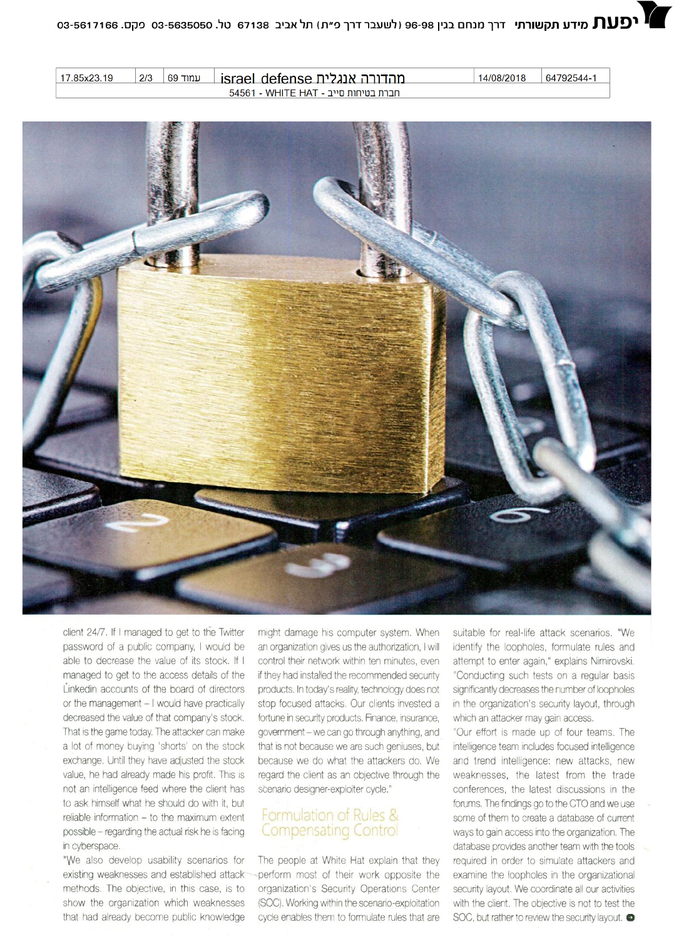64792544-1 14/08/2018

**עמוד 69** 17.85x23.19  $2/3$ israel defense מהדורה אנגלית 54561 - WHITE HAT - חברת בטיחות סייב



client 24/7. If <sup>I</sup> managed to get to the Twitter password of a public company, <sup>I</sup> would be able to decrease the value of its stock. If <sup>I</sup> managed to get to the access details of the Linkedin accounts of the board of directors or the management - I would have practically decreased the value of that company's stock. That is the game today. The attacker can make a lot of money buying 'shorts' on the stock exchange. Until they have adjusted the stock value, he had already made his profit. This is not an intelligence feed where the client has to ask himself what he should do with it, but reliable information - to the maximum extent possible -regarding the actual risk he is facing in cyberspace.

"VVe also develop usability scenarios for existing weaknesses and established attack methods. The objective, in this case, is to show the organization which weaknesses that had already become public knowledge

might damage his computer system. When an organization gives us the authorization, <sup>I</sup> will control their network within ten minutes, even if they had installed the recommended security products. In today's reality, technology does not stop focused attacks. Our clients invested a fortune in security products. Finance, insurance, government-we can go through anything, and that is not because we are such geniuses, but because we do what the attackers do. We regard the client as an objective through the scenario designer-exploiter cycle."

## Formulation of Rules & **Compensating Control**

The people at White Hat explain that they perform most of their work opposite the organization's Security Operations Center (SOC). Working within the scenario-exploitation cycle enables them to formulate rules that are

suitable for real-life attack scenarios. "We identify the loopholes, formulate rules and attempt to enter again," explains Nimirovski. "Conducting such tests on a regular basis significantly decreases the number of loopholes in the organization's security layout, through which an attacker may gain access.

"Our effort is made up of four teams. The intelligence team includes focused intelligence and trend intelligence: new attacks, new weaknesses, the latest from the trade conferences, the latest discussions in the forums. The findings go to the CTO and we use some of them to create a database of current ways to gain access into the organization. The database provides another team with the tools required in order to simulate attackers and examine the loopholes in the organizational security layout. We coordinate all our activities with the client. The objective is not to test the SOC, but rather to review the security layout.  $\bullet$